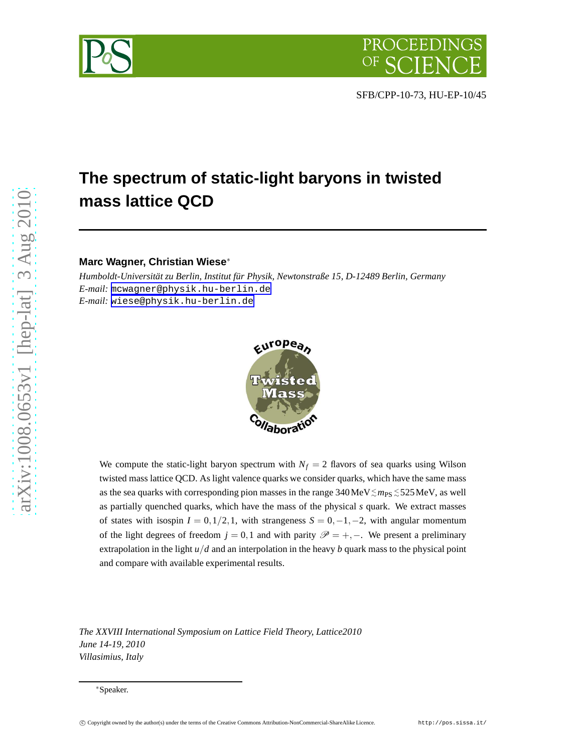



# **The spectrum of static-light baryons in twisted mass lattice QCD**

## **Marc Wagner, Christian Wiese**<sup>∗</sup>

*Humboldt-Universität zu Berlin, Institut für Physik, Newtonstraße 15, D-12489 Berlin, Germany E-mail:* [mcwagner@physik.hu-berlin.de](mailto:mcwagner@physik.hu-berlin.de) *E-mail:* [wiese@physik.hu-berlin.de](mailto:wiese@physik.hu-berlin.de)



We compute the static-light baryon spectrum with  $N_f = 2$  flavors of sea quarks using Wilson twisted mass lattice QCD. As light valence quarks we consider quarks, which have the same mass as the sea quarks with corresponding pion masses in the range 340MeV≲ $m_\mathrm{PS}$ ≲525MeV, as well as partially quenched quarks, which have the mass of the physical *s* quark. We extract masses of states with isospin  $I = 0, 1/2, 1$ , with strangeness  $S = 0, -1, -2$ , with angular momentum of the light degrees of freedom  $j = 0,1$  and with parity  $\mathscr{P} = +, -$ . We present a preliminary extrapolation in the light  $u/d$  and an interpolation in the heavy *b* quark mass to the physical point and compare with available experimental results.

*The XXVIII International Symposium on Lattice Field Theory, Lattice2010 June 14-19, 2010 Villasimius, Italy*

<sup>∗</sup>Speaker.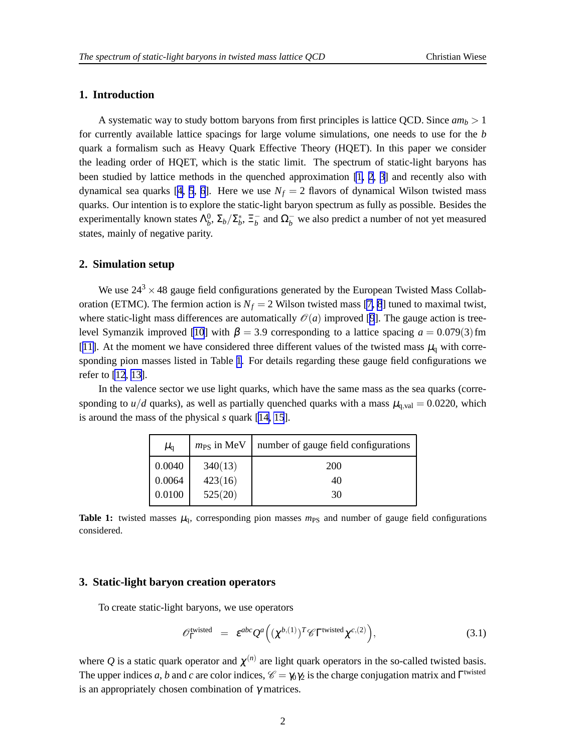## <span id="page-1-0"></span>**1. Introduction**

A systematic way to study bottom baryons from first principles is lattice QCD. Since  $am_b > 1$ for currently available lattice spacings for large volume simulations, one needs to use for the *b* quark a formalism such as Heavy Quark Effective Theory (HQET). In this paper we consider the leading order of HQET, which is the static limit. The spectrum of static-light baryons has been studied by lattice methods in the quenched approximation [\[1](#page-5-0), [2](#page-6-0), [3](#page-6-0)] and recently also with dynamical sea quarks [[4](#page-6-0), [5](#page-6-0), [6](#page-6-0)]. Here we use  $N_f = 2$  flavors of dynamical Wilson twisted mass quarks. Our intention is to explore the static-light baryon spectrum as fully as possible. Besides the experimentally known states  $\Lambda_b^0$ ,  $\Sigma_b/\Sigma_b^*$ ,  $\Xi_b^-$  and  $\Omega_b^-$  we also predict a number of not yet measured states, mainly of negative parity.

### **2. Simulation setup**

We use  $24^3 \times 48$  gauge field configurations generated by the European Twisted Mass Collaboration (ETMC). The fermion action is  $N_f = 2$  Wilson twisted mass [\[7, 8](#page-6-0)] tuned to maximal twist, where static-light mass differences are automatically  $\mathcal{O}(a)$  improved [\[9](#page-6-0)]. The gauge action is tree-level Symanzik improved [\[10](#page-6-0)] with  $\beta = 3.9$  corresponding to a lattice spacing  $a = 0.079(3)$  fm [[11\]](#page-6-0). At the moment we have considered three different values of the twisted mass  $\mu_q$  with corresponding pion masses listed in Table 1. For details regarding these gauge field configurations we refer to [\[12](#page-6-0), [13\]](#page-6-0).

In the valence sector we use light quarks, which have the same mass as the sea quarks (corresponding to  $u/d$  quarks), as well as partially quenched quarks with a mass  $\mu_{q, val} = 0.0220$ , which is around the mass of the physical *s* quark [\[14, 15](#page-6-0)].

| $\mu_{\text{q}}$ | $m_{PS}$ in MeV | number of gauge field configurations |
|------------------|-----------------|--------------------------------------|
| 0.0040           | 340(13)         | <b>200</b>                           |
| 0.0064           | 423(16)         | 40                                   |
| 0.0100           | 525(20)         | 30                                   |

**Table 1:** twisted masses  $\mu_q$ , corresponding pion masses  $m_{PS}$  and number of gauge field configurations considered.

## **3. Static-light baryon creation operators**

To create static-light baryons, we use operators

$$
\mathscr{O}_{\Gamma}^{\{\text{wisted}\}} = \varepsilon^{abc} \mathcal{Q}^a \Big( (\chi^{b,(1)})^T \mathscr{C} \Gamma^{\{\text{twisted}} \chi^{c,(2)} \Big), \tag{3.1}
$$

where Q is a static quark operator and  $\chi^{(n)}$  are light quark operators in the so-called twisted basis. The upper indices *a*, *b* and *c* are color indices,  $\mathcal{C} = \gamma_0 \gamma_2$  is the charge conjugation matrix and  $\Gamma^{\text{twisted}}$ is an appropriately chosen combination of  $\gamma$  matrices.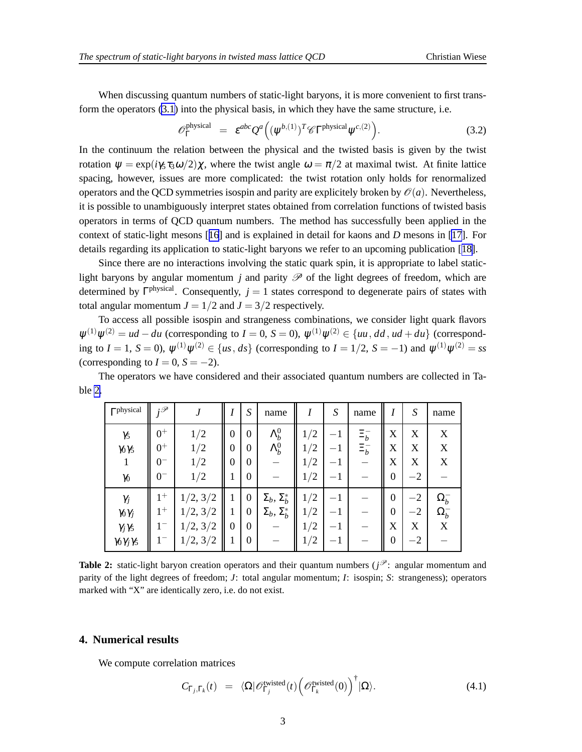<span id="page-2-0"></span>When discussing quantum numbers of static-light baryons, it is more convenient to first transform the operators [\(3.1\)](#page-1-0) into the physical basis, in which they have the same structure, i.e.

$$
\mathcal{O}_{\Gamma}^{\text{physical}} = \varepsilon^{abc} Q^a \Big( (\psi^{b,(1)})^T \mathcal{C} \Gamma^{\text{physical}} \psi^{c,(2)} \Big). \tag{3.2}
$$

In the continuum the relation between the physical and the twisted basis is given by the twist rotation  $\psi = \exp(i\gamma_5 \tau_3 \omega/2)\chi$ , where the twist angle  $\omega = \pi/2$  at maximal twist. At finite lattice spacing, however, issues are more complicated: the twist rotation only holds for renormalized operators and the QCD symmetries isospin and parity are explicitely broken by  $\mathcal{O}(a)$ . Nevertheless, it is possible to unambiguously interpret states obtained from correlation functions of twisted basis operators in terms of QCD quantum numbers. The method has successfully been applied in the context of static-light mesons [[16](#page-6-0)] and is explained in detail for kaons and *D* mesons in [\[17](#page-6-0)]. For details regarding its application to static-light baryons we refer to an upcoming publication [[18\]](#page-6-0).

Since there are no interactions involving the static quark spin, it is appropriate to label staticlight baryons by angular momentum *j* and parity  $\mathscr P$  of the light degrees of freedom, which are determined by  $\Gamma<sup>physical</sup>$ . Consequently,  $j = 1$  states correspond to degenerate pairs of states with total angular momentum  $J = 1/2$  and  $J = 3/2$  respectively.

To access all possible isospin and strangeness combinations, we consider light quark flavors  $\psi^{(1)}\psi^{(2)} = ud - du$  (corresponding to *I* = 0, *S* = 0),  $\psi^{(1)}\psi^{(2)} \in \{uu, dd, ud + du\}$  (corresponding to  $I = 1$ ,  $S = 0$ ),  $\psi^{(1)}\psi^{(2)} \in \{us, ds\}$  (corresponding to  $I = 1/2$ ,  $S = -1$ ) and  $\psi^{(1)}\psi^{(2)} = ss$ (corresponding to  $I = 0$ ,  $S = -2$ ).

The operators we have considered and their associated quantum numbers are collected in Table 2.

| $\Gammaphysical$                                                                     | :P                              |                                              |                               | $\boldsymbol{S}$                                                   | name                                                   | 1                                                                               | $\boldsymbol{S}$            | name                   | I                                                       | S                         | name                              |
|--------------------------------------------------------------------------------------|---------------------------------|----------------------------------------------|-------------------------------|--------------------------------------------------------------------|--------------------------------------------------------|---------------------------------------------------------------------------------|-----------------------------|------------------------|---------------------------------------------------------|---------------------------|-----------------------------------|
| $\gamma_5$<br>$\gamma_0\gamma_5$<br>$\gamma_0$                                       | $0^+$<br>$0^+$<br>0=<br>$0^{-}$ | 1/2<br>1/2<br>1/2<br>1/2                     | $\mathbf{0}$<br>$\theta$<br>0 | $\boldsymbol{0}$<br>$\boldsymbol{0}$<br>$\theta$<br>$\overline{0}$ | $\Lambda_b^0$<br>$\Lambda_b^0$                         | 1/2<br>$^{\prime}2$<br>$\perp$<br>$^{\prime}2$<br>$\perp$<br>$^{\prime}2$<br>1/ | $^{-1}$<br>—<br>— 1<br>$-1$ | $\Xi_b^-$<br>$\Xi_b^-$ | X<br>X<br>X<br>$\overline{0}$                           | X<br>X<br>X<br>$-2$       | X<br>X<br>X                       |
| $\gamma_j$<br>$\gamma_0\gamma_j$<br>$\gamma_j\gamma_5$<br>$\gamma_0\gamma_j\gamma_5$ | $1^+$<br>$1^+$                  | 1/2, 3/2<br>1/2, 3/2<br>1/2, 3/2<br>1/2, 3/2 | $\theta$                      | $\mathbf{0}$<br>$\boldsymbol{0}$<br>0<br>$\boldsymbol{0}$          | $\Sigma_b$ , $\Sigma_b^*$<br>$\Sigma_b$ , $\Sigma_b^*$ | 1/2<br>1/2<br>$^{\prime}2$<br>$\perp$<br>1/2                                    | — I<br>— I<br>—<br>—        |                        | $\overline{0}$<br>$\overline{0}$<br>X<br>$\overline{0}$ | $-2$<br>$-2$<br>X<br>$-2$ | $\Omega_b^-$<br>$\Omega_b^-$<br>X |

**Table 2:** static-light baryon creation operators and their quantum numbers ( $j^{\mathcal{P}}$ : angular momentum and parity of the light degrees of freedom; *J*: total angular momentum; *I*: isospin; *S*: strangeness); operators marked with "X" are identically zero, i.e. do not exist.

#### **4. Numerical results**

We compute correlation matrices

$$
C_{\Gamma_j,\Gamma_k}(t) = \langle \Omega | \mathscr{O}_{\Gamma_j}^{\text{twisted}}(t) \left( \mathscr{O}_{\Gamma_k}^{\text{twisted}}(0) \right)^{\dagger} | \Omega \rangle. \tag{4.1}
$$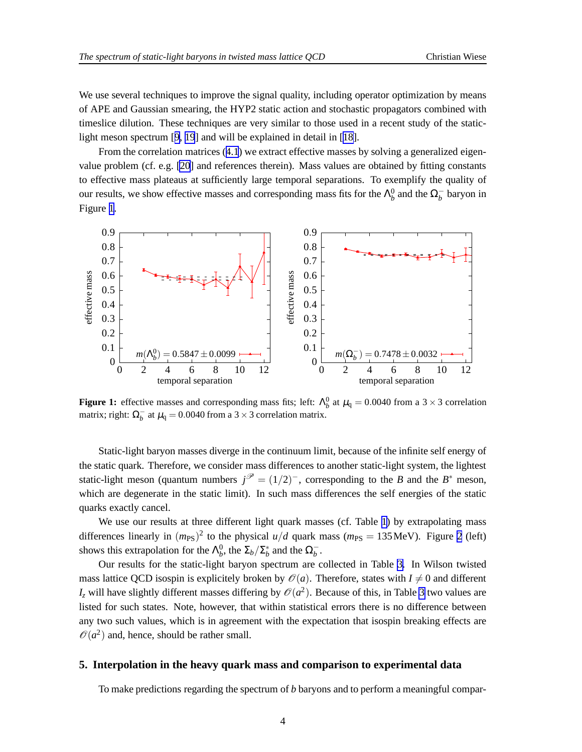We use several techniques to improve the signal quality, including operator optimization by means of APE and Gaussian smearing, the HYP2 static action and stochastic propagators combined with timeslice dilution. These techniques are very similar to those used in a recent study of the staticlight meson spectrum [[9](#page-6-0), [19](#page-6-0)] and will be explained in detail in [[18\]](#page-6-0).

From the correlation matrices ([4.1](#page-2-0)) we extract effective masses by solving a generalized eigenvalue problem (cf. e.g. [\[20](#page-6-0)] and references therein). Mass values are obtained by fitting constants to effective mass plateaus at sufficiently large temporal separations. To exemplify the quality of our results, we show effective masses and corresponding mass fits for the  $\Lambda_b^0$  and the  $\Omega_b^-$  baryon in Figure 1.



**Figure 1:** effective masses and corresponding mass fits; left:  $\Lambda_b^0$  at  $\mu_q = 0.0040$  from a 3 × 3 correlation matrix; right:  $\Omega_b^-$  at  $\mu_q = 0.0040$  from a 3 × 3 correlation matrix.

Static-light baryon masses diverge in the continuum limit, because of the infinite self energy of the static quark. Therefore, we consider mass differences to another static-light system, the lightest static-light meson (quantum numbers  $j^{\mathcal{P}} = (1/2)^{-}$ , corresponding to the *B* and the *B*<sup>\*</sup> meson, which are degenerate in the static limit). In such mass differences the self energies of the static quarks exactly cancel.

We use our results at three different light quark masses (cf. Table [1](#page-1-0)) by extrapolating mass differences linearly in  $(m_{PS})^2$  to the physical  $u/d$  quark mass  $(m_{PS} = 135 \text{ MeV})$ . Figure [2](#page-4-0) (left) shows this extrapolation for the  $\Lambda_b^0$ , the  $\Sigma_b/\Sigma_b^*$  and the  $\Omega_b^-$ .

Our results for the static-light baryon spectrum are collected in Table [3.](#page-4-0) In Wilson twisted mass lattice QCD isospin is explicitely broken by  $\mathcal{O}(a)$ . Therefore, states with  $I \neq 0$  and different  $I_z$  will have slightly different masses differing by  $\mathcal{O}(a^2)$ . Because of this, in Table [3](#page-4-0) two values are listed for such states. Note, however, that within statistical errors there is no difference between any two such values, which is in agreement with the expectation that isospin breaking effects are  $\mathcal{O}(a^2)$  and, hence, should be rather small.

#### **5. Interpolation in the heavy quark mass and comparison to experimental data**

To make predictions regarding the spectrum of *b* baryons and to perform a meaningful compar-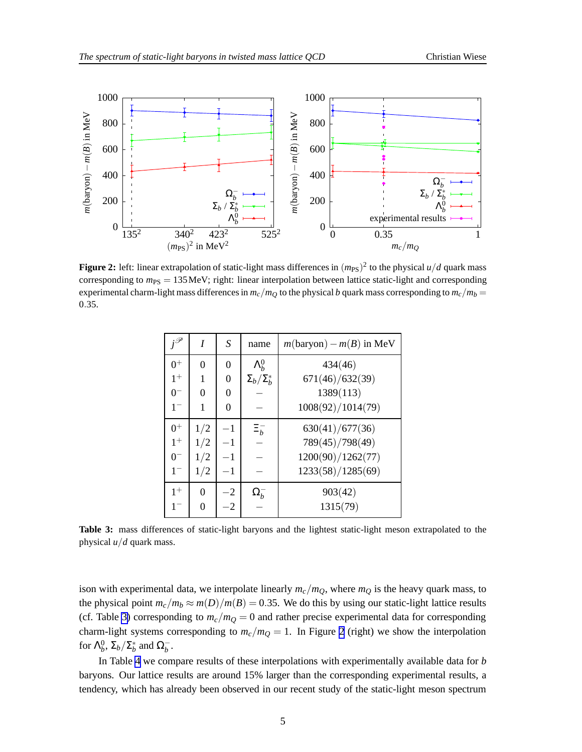<span id="page-4-0"></span>

**Figure 2:** left: linear extrapolation of static-light mass differences in  $(m_{\rm PS})^2$  to the physical  $u/d$  quark mass corresponding to  $m_{PS} = 135$  MeV; right: linear interpolation between lattice static-light and corresponding experimental charm-light mass differences in  $m_c/m_Q$  to the physical *b* quark mass corresponding to  $m_c/m_b =$ 0.35.

| $i^{\mathscr{P}}$ | I   | S              | name                  | $m(baryon) - m(B)$ in MeV |
|-------------------|-----|----------------|-----------------------|---------------------------|
| $0^+$             | 0   | $\overline{0}$ | $\Lambda_h^0$         | 434(46)                   |
| $1^+$             | 1   | $\overline{0}$ | $\Sigma_b/\Sigma_h^*$ | 671(46)/632(39)           |
| $0^{-}$           | 0   | 0              |                       | 1389(113)                 |
| $1-$              | 1   | 0              |                       | 1008(92)/1014(79)         |
| $0+$              | 1/2 | $-1$           | $\Xi_b^-$             | 630(41)/677(36)           |
| $1^+$             | 1/2 |                |                       | 789(45)/798(49)           |
| $0^{-}$           | 1/2 | $-1$           |                       | 1200(90)/1262(77)         |
| $1 -$             | 1/2 | $-1$           |                       | 1233(58)/1285(69)         |
| $1+$              | 0   | $-2$           | $\Omega_b$            | 903(42)                   |
| $1-$              | 0   | $\mathcal{D}$  |                       | 1315(79)                  |

**Table 3:** mass differences of static-light baryons and the lightest static-light meson extrapolated to the physical *u*/*d* quark mass.

ison with experimental data, we interpolate linearly  $m_c/m_Q$ , where  $m_Q$  is the heavy quark mass, to the physical point  $m_c/m_b \approx m(D)/m(B) = 0.35$ . We do this by using our static-light lattice results (cf. Table 3) corresponding to  $m_c/m_Q = 0$  and rather precise experimental data for corresponding charm-light systems corresponding to  $m_c/m_Q = 1$ . In Figure 2 (right) we show the interpolation for  $\Lambda_b^0$ ,  $\Sigma_b/\Sigma_b^*$  and  $\Omega_b^-$ .

In Table [4](#page-5-0) we compare results of these interpolations with experimentally available data for *b* baryons. Our lattice results are around 15% larger than the corresponding experimental results, a tendency, which has already been observed in our recent study of the static-light meson spectrum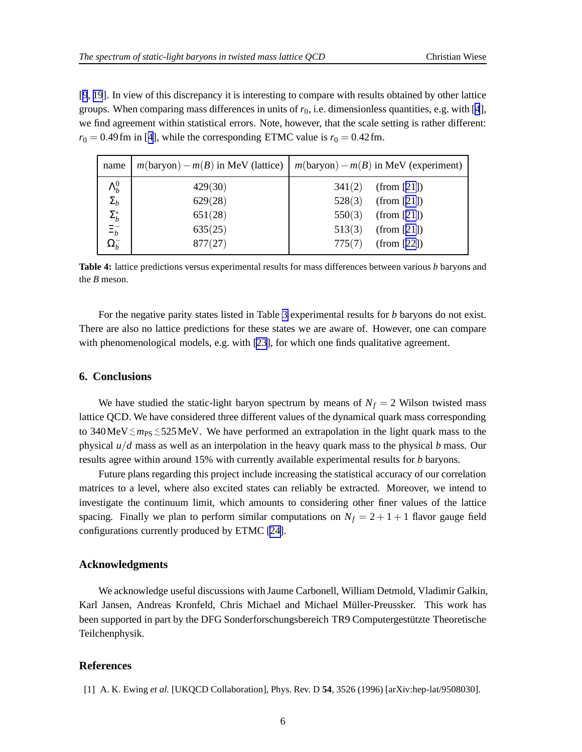<span id="page-5-0"></span>[[9](#page-6-0), [19](#page-6-0)]. In view of this discrepancy it is interesting to compare with results obtained by other lattice groups. When comparing mass differences in units of  $r_0$ , i.e. dimensionless quantities, e.g. with [\[4](#page-6-0)], we find agreement within statistical errors. Note, however, that the scale setting is rather different:  $r_0 = 0.49$  $r_0 = 0.49$  $r_0 = 0.49$  fm in [4], while the corresponding ETMC value is  $r_0 = 0.42$  fm.

| name                                                       | $m(baryon) - m(B)$ in MeV (lattice) | $m(baryon) - m(B)$ in MeV (experiment) |
|------------------------------------------------------------|-------------------------------------|----------------------------------------|
| $\Lambda_b^0$                                              | 429(30)                             | 341(2)<br>(from [21])                  |
| $\Sigma_b$                                                 | 629(28)                             | 528(3)<br>(from [21])                  |
|                                                            | 651(28)                             | 550(3)<br>(from [21])                  |
|                                                            | 635(25)                             | 513(3)<br>(from [21])                  |
| $\label{eq:sumb} \frac{\Sigma_b^*}{\Xi_b^-} \\ \Omega_b^-$ | 877(27)                             | 775(7)<br>(from [22])                  |

**Table 4:** lattice predictions versus experimental results for mass differences between various *b* baryons and the *B* meson.

For the negative parity states listed in Table [3](#page-4-0) experimental results for *b* baryons do not exist. There are also no lattice predictions for these states we are aware of. However, one can compare with phenomenological models, e.g. with [\[23\]](#page-6-0), for which one finds qualitative agreement.

## **6. Conclusions**

We have studied the static-light baryon spectrum by means of  $N_f = 2$  Wilson twisted mass lattice QCD. We have considered three different values of the dynamical quark mass corresponding to 340MeV ≤ m<sub>PS</sub> ≤ 525MeV. We have performed an extrapolation in the light quark mass to the physical *u*/*d* mass as well as an interpolation in the heavy quark mass to the physical *b* mass. Our results agree within around 15% with currently available experimental results for *b* baryons.

Future plans regarding this project include increasing the statistical accuracy of our correlation matrices to a level, where also excited states can reliably be extracted. Moreover, we intend to investigate the continuum limit, which amounts to considering other finer values of the lattice spacing. Finally we plan to perform similar computations on  $N_f = 2 + 1 + 1$  flavor gauge field configurations currently produced by ETMC [\[24](#page-6-0)].

## **Acknowledgments**

We acknowledge useful discussions with Jaume Carbonell, William Detmold, Vladimir Galkin, Karl Jansen, Andreas Kronfeld, Chris Michael and Michael Müller-Preussker. This work has been supported in part by the DFG Sonderforschungsbereich TR9 Computergestützte Theoretische Teilchenphysik.

## **References**

[1] A. K. Ewing *et al.* [UKQCD Collaboration], Phys. Rev. D **54**, 3526 (1996) [arXiv:hep-lat/9508030].